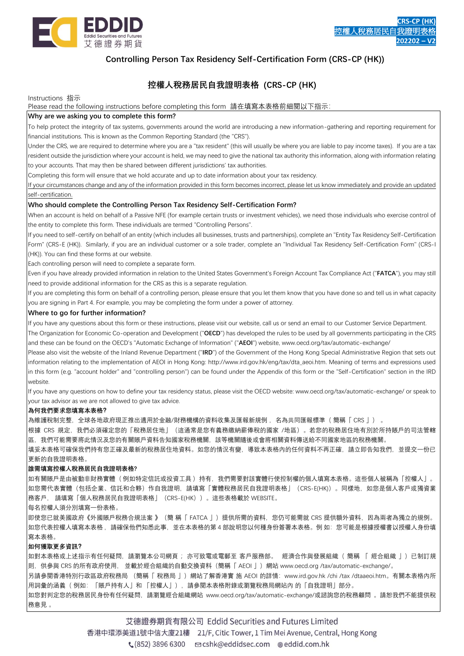

# **Controlling Person Tax Residency Self-Certification Form (CRS-CP (HK))**

# **控權人稅務居民自我證明表格 (CRS-CP (HK)**

Instructions 指示

## Please read the following instructions before completing this form 請在填寫本表格前細閱以下指示:

## **Why are we asking you to complete this form?**

To help protect the integrity of tax systems, governments around the world are introducing a new information-gathering and reporting requirement for financial institutions. This is known as the Common Reporting Standard (the "CRS").

Under the CRS, we are required to determine where you are a "tax resident" (this will usually be where you are liable to pay income taxes). If you are a tax resident outside the jurisdiction where your account is held, we may need to give the national tax authority this information, along with information relating to your accounts. That may then be shared between different jurisdictions' tax authorities.

Completing this form will ensure that we hold accurate and up to date information about your tax residency.

If your circumstances change and any of the information provided in this form becomes incorrect, please let us know immediately and provide an updated self-certification.

## **Who should complete the Controlling Person Tax Residency Self-Certification Form?**

When an account is held on behalf of a Passive NFE (for example certain trusts or investment vehicles), we need those individuals who exercise control of the entity to complete this form. These individuals are termed "Controlling Persons".

If you need to self-certify on behalf of an entity (which includes all businesses, trusts and partnerships), complete an "Entity Tax Residency Self-Certification Form" (CRS-E (HK)). Similarly, if you are an individual customer or a sole trader, complete an "Individual Tax Residency Self-Certification Form" (CRS-I (HK)). You can find these forms at our website.

Each controlling person will need to complete a separate form.

Even if you have already provided information in relation to the United States Government's Foreign Account Tax Compliance Act ("**FATCA**"), you may still need to provide additional information for the CRS as this is a separate regulation.

If you are completing this form on behalf of a controlling person, please ensure that you let them know that you have done so and tell us in what capacity you are signing in Part 4. For example, you may be completing the form under a power of attorney.

## **Where to go for further information?**

If you have any questions about this form or these instructions, please visit our website, call us or send an email to our Customer Service Department. The Organization for Economic Co-operation and Development ("**OECD**") has developed the rules to be used by all governments participating in the CRS and these can be found on the OECD's "Automatic Exchange of Information" ("**AEOI**") website, www.oecd.org/tax/automatic-exchange/

Please also visit the website of the Inland Revenue Department ("**IRD**") of the Government of the Hong Kong Special Administrative Region that sets out information relating to the implementation of AEOI in Hong Kong: http://www.ird.gov.hk/eng/tax/dta\_aeoi.htm. Meaning of terms and expressions used in this form (e.g. "account holder" and "controlling person") can be found under the Appendix of this form or the "Self-Certification" section in the IRD website.

If you have any questions on how to define your tax residency status, please visit the OECD website: www.oecd.org/tax/automatic-exchange/ or speak to your tax advisor as we are not allowed to give tax advice.

### **為何我們要求您填寫本表格?**

為維護稅制完整,全球各地政府現正推出適用於金融/財務機構的資料收集及匯報新規例 ,名為共同匯報標準( 簡稱「 CRS 」) 。

根據 CRS 規定,我們必須確定您的「稅務居住地」(這通常是您有義務繳納薪俸稅的國家 /地區)。若您的稅務居住地有別於所持賬戶的司法管轄 區,我們可能需要將此情況及您的有關賬戶資料告知國家稅務機關,該等機關隨後或會將相關資料傳送給不同國家地區的稅務機關。

填妥本表格可確保我們持有您正確及最新的稅務居住地資料。如您的情況有變,導致本表格內的任何資料不再正確,請立即告知我們,並提交一份已 更新的自我證明表格。

### **誰需填寫控權人稅務居民自我證明表格?**

如有關賬戶是由被動非財務實體( 例如特定信託或投資工具 )持有,我們需要對該實體行使控制權的個人填寫本表格。這些個人被稱為「控權人」。 如您需代表實體(包括企業、信託和合夥)作自我證明,請填寫「實體稅務居民自我證明表格」(CRS-E(HK))。同樣地,如您是個人客戶或獨資業 務客戶, 請填寫「個人稅務居民自我證明表格」(CRS-E(HK))。這些表格載於 WEBSITE。

每名控權人須分別填寫一份表格。

即使您已就美國政府《外國賬戶稅務合規法案 》(簡 稱「 FATCA 」)提供所需的資料,您仍可能需就 CRS 提供額外資料,因為兩者為獨立的規例。 如您代表控權人填寫本表格 ,請確保他們知悉此事,並在本表格的第 4 部說明您以何種身份簽署本表格。例 如:您可能是根據授權書以授權人身份填 寫本表格。

### **如何獲取更多資訊?**

如對本表格或上述指示有任何疑問,請瀏覽本公司網頁 ; 亦可致電或電郵至 客戶服務部。 經濟合作與發展組織 ( 簡稱 「 經合組織 」)已制訂規 則,供參與 CRS 的所有政府使用, 並載於經合組織的自動交換資料(簡稱「 AEOI 」)網站 www.oecd.org /tax/automatic-exchange/。

另請參閱香港特別行政區政府稅務局 (簡稱「 稅務局 」)網站了解香港實 施 AEOI 的詳情:www.ird.gov.hk /chi /tax /dtaaeoi.htm。有關本表格內所 用詞彙的涵義( 例如:「賬戶持有人」和 「控權人」),請參閱本表格附錄或瀏覽稅務局網站內 的「自我證明」部分。

如您對判定您的稅務居民身份有任何疑問,請瀏覽經合組織網站 www.oecd.org/tax/automatic-exchange/或諮詢您的稅務顧問 。請恕我們不能提供稅 務意見 。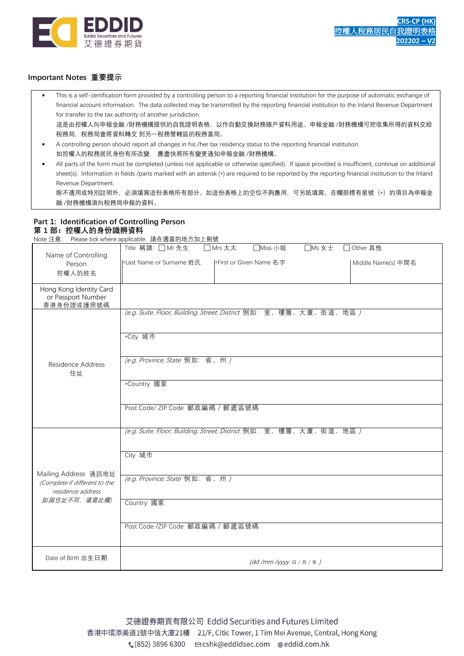

## **Important Notes 重要提示**

- This is a self-certification form provided by a controlling person to a reporting financial institution for the purpose of automatic exchange of financial account information. The data collected may be transmitted by the reporting financial institution to the Inland Revenue Department for transfer to the tax authority of another jurisdiction. 這是由控權人向申報金融 /財務機構提供的自我證明表格,以作自動交換財務賬戶資料用途。申報金融 /財務機構可把收集所得的資料交給 稅務局,稅務局會將資料轉交 到另一稅務管轄區的稅務當局。 • A controlling person should report all changes in his /her tax residency status to the reporting financial institution.
- 如控權人的稅務居民身份有所改變, 應盡快將所有變更通知申報金融 /財務機構。
- All parts of the form must be completed (unless not applicable or otherwise specified). If space provided is insufficient, continue on additional sheet(s). Information in fields /parts marked with an asterisk (\*) are required to be reported by the reporting financial institution to the Inland Revenue Department.

除不適用或特別註明外,必須填寫這份表格所有部分。如這份表格上的空位不夠應用,可另紙填寫。在欄部標有星號(\*)的項目為申報金 融 /財務機構須向稅務局申報的資料。

#### **Part 1: Identification of Controlling Person 第 1 部:控權人的身份識辨資料**  $\pm$  大冷的的地元地区

|                                                                                            | INOte 汪息。—Please tick where applicable,請仕週黃的地方加工刎號                                                                                            |
|--------------------------------------------------------------------------------------------|-----------------------------------------------------------------------------------------------------------------------------------------------|
| Name of Controlling<br>Person<br>控權人的姓名                                                    | □ Mrs 太太<br>Miss 小姐<br>□ Other 其他<br>Title 稱謂: □ Mr 先生<br>ヿMs 女士<br>kLast Name or Surname 姓氏<br>*First or Given Name 名字<br>Middle Name(s) 中間名 |
| Hong Kong Identity Card<br>or Passport Number<br>香港身份證或護照號碼                                |                                                                                                                                               |
| Residence Address<br>住址                                                                    | (e.g. Suite, Floor, Building, Street, District 例如: 室、樓層、大廈、街道、地區 )<br>*City 城市                                                                |
|                                                                                            | (e.g. Province, State 例如: 省、州)                                                                                                                |
|                                                                                            | *Country 國家                                                                                                                                   |
|                                                                                            | Post Code/ ZIP Code 郵政編碼 / 郵遞區號碼                                                                                                              |
| Mailing Address 通訊地址<br>(Complete if different to the<br>residence address<br>如與住址不同,填寫此欄) | (e.g. Suite, Floor, Building, Street, District 例如: 室、樓層、大廈、街道、地區 )                                                                            |
|                                                                                            | City 城市                                                                                                                                       |
|                                                                                            | (e.g. Province, State 例如: 省、州)                                                                                                                |
|                                                                                            | Country 國家                                                                                                                                    |
|                                                                                            | Post Code /ZIP Code 郵政編碼 / 郵遞區號碼                                                                                                              |
| Date of Birth 出生日期                                                                         | (dd /mm /yyyy 日 / 月 / 年 )                                                                                                                     |

艾德證券期貨有限公司 Eddid Securities and Futures Limited 香港中環添美道1號中信大廈21樓 21/F, Citic Tower, 1 Tim Mei Avenue, Central, Hong Kong ₹ (852) 3896 6300 Scshk@eddidsec.com @eddid.com.hk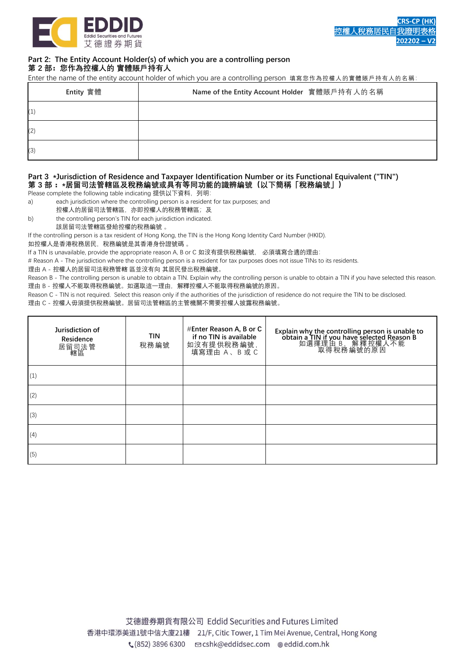

# **Part 2: The Entity Account Holder(s) of which you are a controlling person 第 2 部:您作為控權人的 實體賬戶持有人**

Enter the name of the entity account holder of which you are a controlling person 填寫您作為控權人的實體賬戶持有人的名稱:

| Entity 實體 | Name of the Entity Account Holder 實體賬戶持有人的名稱 |
|-----------|----------------------------------------------|
| (1)       |                                              |
| (2)       |                                              |
| (3)       |                                              |

# **Part 3 \*Jurisdiction of Residence and Taxpayer Identification Number or its Functional Equivalent ("TIN") 第 3 部 :\*居留司法管轄區及稅務編號或具有等同功能的識辨編號(以下簡稱「稅務編號」)**

Please complete the following table indicating 提供以下資料, 列明:

- a) each jurisdiction where the controlling person is a resident for tax purposes; and
- 控權人的居留司法管轄區,亦即控權人的稅務管轄區;及
- b) the controlling person's TIN for each jurisdiction indicated.
- 該居留司法管轄區發給控權的稅務編號 。

If the controlling person is a tax resident of Hong Kong, the TIN is the Hong Kong Identity Card Number (HKID).

如控權人是香港稅務居民,稅務編號是其香港身份證號碼 。

If a TIN is unavailable, provide the appropriate reason A, B or C 如沒有提供稅務編號, 必須填寫合適的理由:

# Reason A - The jurisdiction where the controlling person is a resident for tax purposes does not issue TINs to its residents.

理由 A - 控權人的居留司法稅務管轄 區並沒有向 其居民發出稅務編號。

Reason B - The controlling person is unable to obtain a TIN. Explain why the controlling person is unable to obtain a TIN if you have selected this reason. 理由 B - 控權人不能取得稅務編號。如選取這一理由,解釋控權人不能取得稅務編號的原因。

Reason C - TIN is not required. Select this reason only if the authorities of the jurisdiction of residence do not require the TIN to be disclosed. 理由 C - 控權人毋須提供稅務編號。居留司法管轄區的主管機關不需要控權人披露稅務編號。

| Jurisdiction of<br>Residence<br>居留司法 管<br>轄區 | TIN<br>稅務編號 | #Enter Reason A, B or C<br>if no TIN is available<br>如沒有提供稅務編號,<br>填寫理由 A、B 或 C | Explain why the controlling person is unable to<br>obtain a TIN if you have selected Reason B<br>如選擇理由 B, 解釋控權人不能<br>取得稅務編號的原因 |
|----------------------------------------------|-------------|---------------------------------------------------------------------------------|--------------------------------------------------------------------------------------------------------------------------------|
| (1)                                          |             |                                                                                 |                                                                                                                                |
| (2)                                          |             |                                                                                 |                                                                                                                                |
| (3)                                          |             |                                                                                 |                                                                                                                                |
| (4)                                          |             |                                                                                 |                                                                                                                                |
| (5)                                          |             |                                                                                 |                                                                                                                                |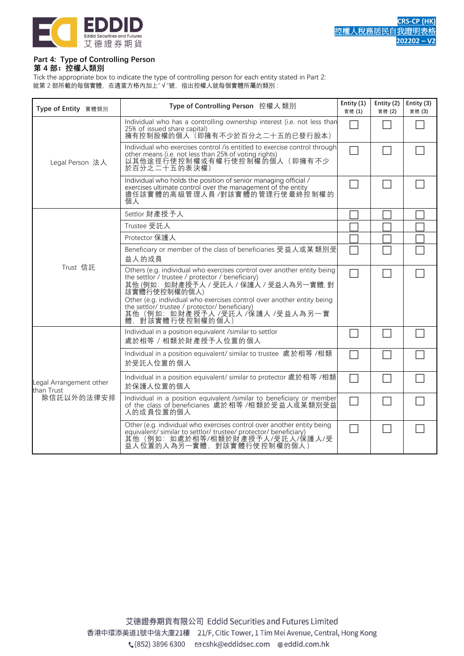

## **Part 4: Type of Controlling Person 第 4 部:控權人類別**

Tick the appropriate box to indicate the type of controlling person for each entity stated in Part 2: 就第 2 部所載的每個實體, 在適當方格內加上"√"號, 指出控權人就每個實體所屬的類別:

| Type of Entity 實體類別                                 | Type of Controlling Person 控權人類別                                                                                                                                                                                                                                                                                                                       | Entity (1)<br>實體 (1) | Entity (2)<br>實體 (2) | Entity (3)<br>實體 (3) |
|-----------------------------------------------------|--------------------------------------------------------------------------------------------------------------------------------------------------------------------------------------------------------------------------------------------------------------------------------------------------------------------------------------------------------|----------------------|----------------------|----------------------|
| Legal Person 法人                                     | Individual who has a controlling ownership interest (i.e. not less than<br>25% of issued share capital)<br>擁有控制股權的個人 (即擁有不少於百分之二十五的已發行股本)                                                                                                                                                                                                              |                      |                      |                      |
|                                                     | Individual who exercises control /is entitled to exercise control through<br>other means (i.e. not less than 25% of voting rights)<br>以其他途徑行使控制權或有權行使控制權的個人(即擁有不少<br>於百分之二十五的表決權)                                                                                                                                                                      |                      |                      |                      |
|                                                     | Individual who holds the position of senior managing official /<br>exercises ultimate control over the management of the entity<br>擔任該實體的高級管理人員 /對該實體的管理行使最終控制權的<br>個人                                                                                                                                                                                 |                      |                      |                      |
|                                                     | Settlor 財產授予人                                                                                                                                                                                                                                                                                                                                          |                      |                      |                      |
|                                                     | Trustee 受託人                                                                                                                                                                                                                                                                                                                                            |                      |                      |                      |
|                                                     | Protector 保護人                                                                                                                                                                                                                                                                                                                                          |                      |                      |                      |
| Trust 信託                                            | Beneficiary or member of the class of beneficiaries 受益人或某類別受<br>益人的成員                                                                                                                                                                                                                                                                                  |                      |                      |                      |
|                                                     | Others (e.g. individual who exercises control over another entity being<br>the settlor / trustee / protector / beneficiary)<br>其他(例如: 如財產授予人 / 受託人 / 保護人 / 受益人為另一實體, 對<br>該實體行使控制權的個人)<br>Other (e.g. individual who exercises control over another entity being<br>the settlor/ trustee / protector/ beneficiary)<br>其他(例如: 如財產授予人 /受託人 /保護人 /受益人為另一實 |                      |                      |                      |
| Legal Arrangement other<br>than Trust<br>除信託以外的法律安排 | Individual in a position equivalent /similar to settlor<br>處於相等 / 相類於財產授予人位置的個人                                                                                                                                                                                                                                                                        |                      |                      |                      |
|                                                     | Individual in a position equivalent/ similar to trustee 處於相等 /相類<br>於受託人位置的個人                                                                                                                                                                                                                                                                          |                      |                      |                      |
|                                                     | Individual in a position equivalent/ similar to protector 處於相等 /相類<br>於保護人位置的個人                                                                                                                                                                                                                                                                        |                      |                      |                      |
|                                                     | Individual in a position equivalent /similar to beneficiary or member<br>of the class of beneficiaries 處於相等 /相類於受益人或某類別受益<br>人的成員位置的個人                                                                                                                                                                                                                 |                      |                      |                      |
|                                                     | Other (e.g. individual who exercises control over another entity being<br>equivalent/similar to settlor/trustee/protector/beneficiary)<br>其他(例如:如處於相等/相類於財產授予人/受託人/保護人/受<br>益人位置的人為另一實體,對該實體行使控制權的個人)                                                                                                                                                  |                      |                      |                      |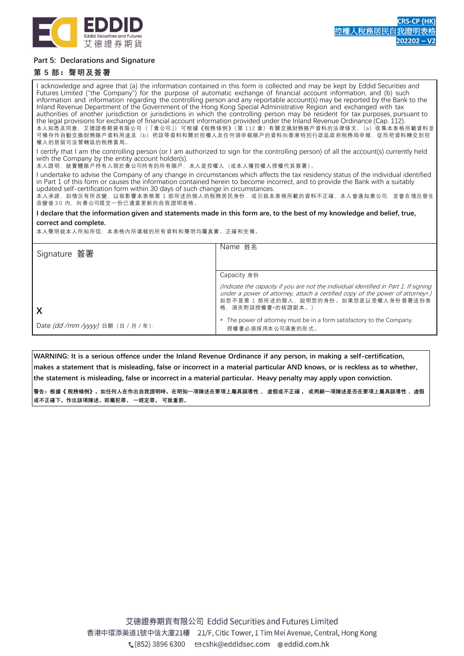

## **Part 5: Declarations and Signature**

## **第 5 部:聲明及簽署**

I acknowledge and agree that (a) the information contained in this form is collected and may be kept by Eddid Securities and Futures Limited ("the Company") for the purpose of automatic exchange of financial account information, and (b) such information and information regarding the controlling person and any reportable account(s) may be reported by the Bank to the Inland Revenue Department of the Government of the Hong Kong Special Administrative Region and exchanged with tax authorities of another jurisdiction or jurisdictions in which the controlling person may be resident for tax purposes, pursuant to the legal provisions for exchange of financial account information provided under the Inland Revenue Ordinance (Cap. 112). 本人知悉及同意,艾德證券期貨有限公司(「貴公司」)可根據《稅務條例》(第 112 章) 有關交換財務賬戶資料的法律條文, (a)收集本表格所載資料並 可備存作自動交換財務賬戶資料用途及(b)把該等資料和關於控權人及任何須申報賬戶的資料向香港特別行政區政府稅務局申報,從而把資料轉交到控 權人的居留司法管轄區的稅務當局。

I certify that I am the controlling person (or I am authorized to sign for the controlling person) of all the account(s) currently held with the Company by the entity account holder(s).

本人證明,就實體賬戶持有人現於貴公司持有的所有賬戶,本人是控權人(或本人獲控權人授權代其簽署)。

I undertake to advise the Company of any change in circumstances which affects the tax residency status of the individual identified in Part 1 of this form or causes the information contained herein to become incorrect, and to provide the Bank with a suitably updated self-certification form within 30 days of such change in circumstances.

本人承諾,如情況有所改變,以致影響本表格第 1 部所述的個人的稅務居民身份,或引致本表格所載的資料不正確,本人會通知貴公司,並會在情況發生 改變後 30 內, 向貴公司提交一份已適當更新的自我證明表格。

#### I declare that the information given and statements made in this form are, to the best of my knowledge and belief, true, **correct and complete.**

本人聲明就本人所知所信,本表格內所填報的所有資料和聲明均屬真實、正確和完備。

| Signature 簽署                        | Name 姓名                                                                                                                                                                                                                                |
|-------------------------------------|----------------------------------------------------------------------------------------------------------------------------------------------------------------------------------------------------------------------------------------|
|                                     | Capacity 身份                                                                                                                                                                                                                            |
|                                     | (Indicate the capacity if you are not the individual identified in Part 1. If signing<br>under a power of attorney, attach a certified copy of the power of attorney*.)<br>如您不是第 1 部所述的個人, 說明您的身份。如果您是以受權人身份簽署這份表<br>格,須夾附該授權書*的核證副本。) |
| Date (dd /mm /yyyy) 日期 (日 / 月 / 年): | * The power of attorney must be in a form satisfactory to the Company.<br>授權書必須採用本公司滿意的形式。                                                                                                                                             |

WARNING: It is a serious offence under the Inland Revenue Ordinance if any person, in making a self-certification. makes a statement that is misleading, false or incorrect in a material particular AND knows, or is reckless as to whether, **the statement is misleading, false or incorrect in a material particular. Heavy penalty may apply upon conviction.**

**警告:根據《 稅務條例》,如任何人在作出自我證明時,在明知一項陳述在要項上屬具誤導性 、 虛假或不正確 , 或罔顧一項陳述是否在要項上屬具誤導性 、虛假 或不正確下,作出該項陳述,即屬犯罪。 一經定罪, 可致重罰。**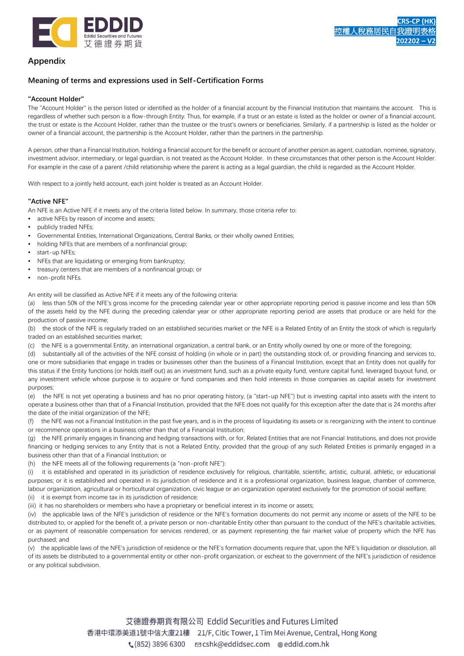

# **Appendix**

## **Meaning of terms and expressions used in Self-Certification Forms**

### **"Account Holder"**

The "Account Holder" is the person listed or identified as the holder of a financial account by the Financial Institution that maintains the account. This is regardless of whether such person is a flow-through Entity. Thus, for example, if a trust or an estate is listed as the holder or owner of a financial account, the trust or estate is the Account Holder, rather than the trustee or the trust's owners or beneficiaries. Similarly, if a partnership is listed as the holder or owner of a financial account, the partnership is the Account Holder, rather than the partners in the partnership.

A person, other than a Financial Institution, holding a financial account for the benefit or account of another person as agent, custodian, nominee, signatory, investment advisor, intermediary, or legal guardian, is not treated as the Account Holder. In these circumstances that other person is the Account Holder. For example in the case of a parent /child relationship where the parent is acting as a legal guardian, the child is regarded as the Account Holder.

With respect to a jointly held account, each joint holder is treated as an Account Holder.

## **"Active NFE"**

An NFE is an Active NFE if it meets any of the criteria listed below. In summary, those criteria refer to:

- active NFEs by reason of income and assets;
- publicly traded NFEs;
- Governmental Entities, International Organizations, Central Banks, or their wholly owned Entities;
- holding NFEs that are members of a nonfinancial group;
- start-up NFEs;
- NFEs that are liquidating or emerging from bankruptcy;
- treasury centers that are members of a nonfinancial group; or
- non-profit NFEs.

An entity will be classified as Active NFE if it meets any of the following criteria:

(a) less than 50% of the NFE's gross income for the preceding calendar year or other appropriate reporting period is passive income and less than 50% of the assets held by the NFE during the preceding calendar year or other appropriate reporting period are assets that produce or are held for the production of passive income;

(b) the stock of the NFE is regularly traded on an established securities market or the NFE is a Related Entity of an Entity the stock of which is regularly traded on an established securities market;

(c) the NFE is a governmental Entity, an international organization, a central bank, or an Entity wholly owned by one or more of the foregoing;

(d) substantially all of the activities of the NFE consist of holding (in whole or in part) the outstanding stock of, or providing financing and services to, one or more subsidiaries that engage in trades or businesses other than the business of a Financial Institution, except that an Entity does not qualify for this status if the Entity functions (or holds itself out) as an investment fund, such as a private equity fund, venture capital fund, leveraged buyout fund, or any investment vehicle whose purpose is to acquire or fund companies and then hold interests in those companies as capital assets for investment purposes;

(e) the NFE is not yet operating a business and has no prior operating history, (a "start-up NFE") but is investing capital into assets with the intent to operate a business other than that of a Financial Institution, provided that the NFE does not qualify for this exception after the date that is 24 months after the date of the initial organization of the NFE;

(f) the NFE was not a Financial Institution in the past five years, and is in the process of liquidating its assets or is reorganizing with the intent to continue or recommence operations in a business other than that of a Financial Institution;

(g) the NFE primarily engages in financing and hedging transactions with, or for, Related Entities that are not Financial Institutions, and does not provide financing or hedging services to any Entity that is not a Related Entity, provided that the group of any such Related Entities is primarily engaged in a business other than that of a Financial Institution; or

(h) the NFE meets all of the following requirements (a "non-profit NFE"):

(i) it is established and operated in its jurisdiction of residence exclusively for religious, charitable, scientific, artistic, cultural, athletic, or educational purposes; or it is established and operated in its jurisdiction of residence and it is a professional organization, business league, chamber of commerce, labour organization, agricultural or horticultural organization, civic league or an organization operated exclusively for the promotion of social welfare;

(ii) it is exempt from income tax in its jurisdiction of residence;

(iii) it has no shareholders or members who have a proprietary or beneficial interest in its income or assets;

(iv) the applicable laws of the NFE's jurisdiction of residence or the NFE's formation documents do not permit any income or assets of the NFE to be distributed to, or applied for the benefit of, a private person or non-charitable Entity other than pursuant to the conduct of the NFE's charitable activities, or as payment of reasonable compensation for services rendered, or as payment representing the fair market value of property which the NFE has purchased; and

(v) the applicable laws of the NFE's jurisdiction of residence or the NFE's formation documents require that, upon the NFE's liquidation or dissolution, all of its assets be distributed to a governmental entity or other non-profit organization, or escheat to the government of the NFE's jurisdiction of residence or any political subdivision.

> 艾德證券期貨有限公司 Eddid Securities and Futures Limited 香港中環添美道1號中信大廈21樓 21/F, Citic Tower, 1 Tim Mei Avenue, Central, Hong Kong ₹ (852) 3896 6300 m cshk@eddidsec.com @eddid.com.hk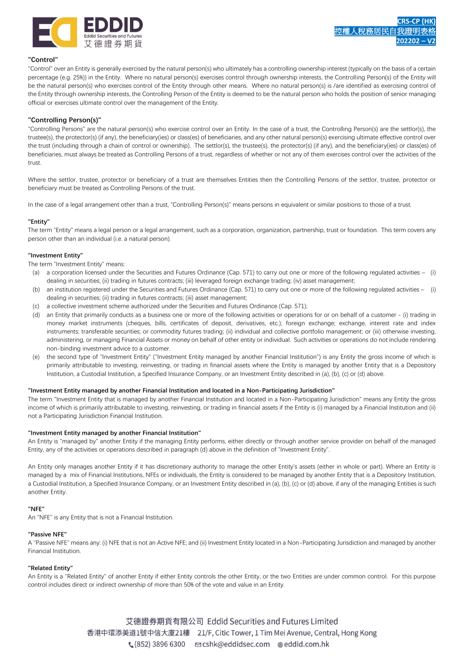

## **"Control"**

"Control" over an Entity is generally exercised by the natural person(s) who ultimately has a controlling ownership interest (typically on the basis of a certain percentage (e.g. 25%)) in the Entity. Where no natural person(s) exercises control through ownership interests, the Controlling Person(s) of the Entity will be the natural person(s) who exercises control of the Entity through other means. Where no natural person(s) is /are identified as exercising control of the Entity through ownership interests, the Controlling Person of the Entity is deemed to be the natural person who holds the position of senior managing official or exercises ultimate control over the management of the Entity.

### **"Controlling Person(s)"**

"Controlling Persons" are the natural person(s) who exercise control over an Entity. In the case of a trust, the Controlling Person(s) are the settlor(s), the trustee(s), the protector(s) (if any), the beneficiary(ies) or class(es) of beneficiaries, and any other natural person(s) exercising ultimate effective control over the trust (including through a chain of control or ownership). The settlor(s), the trustee(s), the protector(s) (if any), and the beneficiary(ies) or class(es) of beneficiaries, must always be treated as Controlling Persons of a trust, regardless of whether or not any of them exercises control over the activities of the trust.

Where the settlor, trustee, protector or beneficiary of a trust are themselves Entities then the Controlling Persons of the settlor, trustee, protector or beneficiary must be treated as Controlling Persons of the trust.

In the case of a legal arrangement other than a trust, "Controlling Person(s)" means persons in equivalent or similar positions to those of a trust.

### **"Entity"**

The term "Entity" means a legal person or a legal arrangement, such as a corporation, organization, partnership, trust or foundation. This term covers any person other than an individual (i.e. a natural person).

### **"Investment Entity"**

The term "Investment Entity" means:

- (a) a corporation licensed under the Securities and Futures Ordinance (Cap. 571) to carry out one or more of the following regulated activities (i) dealing in securities; (ii) trading in futures contracts; (iii) leveraged foreign exchange trading; (iv) asset management;
- (b) an institution registered under the Securities and Futures Ordinance (Cap. 571) to carry out one or more of the following regulated activities (i) dealing in securities; (ii) trading in futures contracts; (iii) asset management;
- (c) a collective investment scheme authorized under the Securities and Futures Ordinance (Cap. 571);
- (d) an Entity that primarily conducts as a business one or more of the following activities or operations for or on behalf of a customer (i) trading in money market instruments (cheques, bills, certificates of deposit, derivatives, etc.); foreign exchange; exchange, interest rate and index instruments; transferable securities; or commodity futures trading; (ii) individual and collective portfolio management; or (iii) otherwise investing, administering, or managing Financial Assets or money on behalf of other entity or individual. Such activities or operations do not include rendering non-binding investment advice to a customer.
- (e) the second type of "Investment Entity" ("Investment Entity managed by another Financial Institution") is any Entity the gross income of which is primarily attributable to investing, reinvesting, or trading in financial assets where the Entity is managed by another Entity that is a Depository Institution, a Custodial Institution, a Specified Insurance Company, or an Investment Entity described in (a), (b), (c) or (d) above.

#### **"Investment Entity managed by another Financial Institution and located in a Non-Participating Jurisdiction"**

The term "Investment Entity that is managed by another Financial Institution and located in a Non-Participating Jurisdiction" means any Entity the gross income of which is primarily attributable to investing, reinvesting, or trading in financial assets if the Entity is (i) managed by a Financial Institution and (ii) not a Participating Jurisdiction Financial Institution.

#### **"Investment Entity managed by another Financial Institution"**

An Entity is "managed by" another Entity if the managing Entity performs, either directly or through another service provider on behalf of the managed Entity, any of the activities or operations described in paragraph (d) above in the definition of "Investment Entity".

An Entity only manages another Entity if it has discretionary authority to manage the other Entity's assets (either in whole or part). Where an Entity is managed by a mix of Financial Institutions, NFEs or individuals, the Entity is considered to be managed by another Entity that is a Depository Institution, a Custodial Institution, a Specified Insurance Company, or an Investment Entity described in (a), (b), (c) or (d) above, if any of the managing Entities is such another Entity.

### **"NFE"**

An "NFE" is any Entity that is not a Financial Institution.

### **"Passive NFE"**

A "Passive NFE" means any: (i) NFE that is not an Active NFE; and (ii) Investment Entity located in a Non-Participating Jurisdiction and managed by another Financial Institution.

### **"Related Entity"**

An Entity is a "Related Entity" of another Entity if either Entity controls the other Entity, or the two Entities are under common control. For this purpose control includes direct or indirect ownership of more than 50% of the vote and value in an Entity.

> 艾德證券期貨有限公司 Eddid Securities and Futures Limited 香港中環添美道1號中信大廈21樓 21/F, Citic Tower, 1 Tim Mei Avenue, Central, Hong Kong ₹ (852) 3896 6300 m cshk@eddidsec.com @eddid.com.hk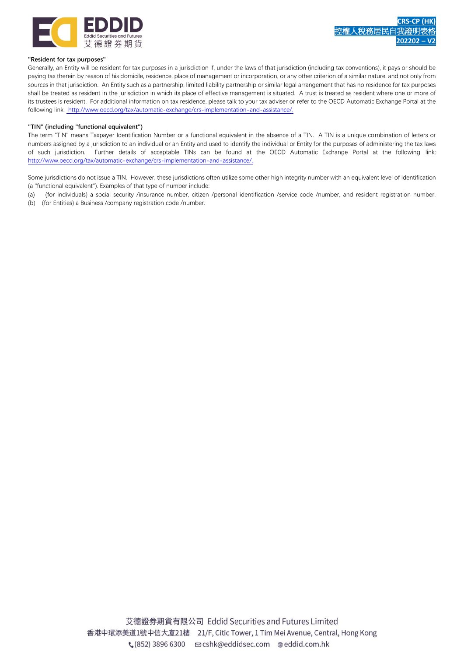

### **"Resident for tax purposes"**

Generally, an Entity will be resident for tax purposes in a jurisdiction if, under the laws of that jurisdiction (including tax conventions), it pays or should be paying tax therein by reason of his domicile, residence, place of management or incorporation, or any other criterion of a similar nature, and not only from sources in that jurisdiction. An Entity such as a partnership, limited liability partnership or similar legal arrangement that has no residence for tax purposes shall be treated as resident in the jurisdiction in which its place of effective management is situated. A trust is treated as resident where one or more of its trustees is resident. For additional information on tax residence, please talk to your tax adviser or refer to the OECD Automatic Exchange Portal at the following link[: http://www.oecd.org/tax/automatic-exchange/crs-implementation-and-assistance/.](http://www.oecd.org/tax/automatic-exchange/crs-implementation-and-assistance/)

#### **"TIN" (including "functional equivalent")**

The term "TIN" means Taxpayer Identification Number or a functional equivalent in the absence of a TIN. A TIN is a unique combination of letters or numbers assigned by a jurisdiction to an individual or an Entity and used to identify the individual or Entity for the purposes of administering the tax laws of such jurisdiction. Further details of acceptable TINs can be found at the OECD Automatic Exchange Portal at the following link: [http://www.oecd.org/tax/automatic-exchange/crs-implementation-and-assistance/.](http://www.oecd.org/tax/automatic-exchange/crs-implementation-and-assistance/)

Some jurisdictions do not issue a TIN. However, these jurisdictions often utilize some other high integrity number with an equivalent level of identification (a "functional equivalent"). Examples of that type of number include:

- (a) (for individuals) a social security /insurance number, citizen /personal identification /service code /number, and resident registration number.
- (b) (for Entities) a Business /company registration code /number.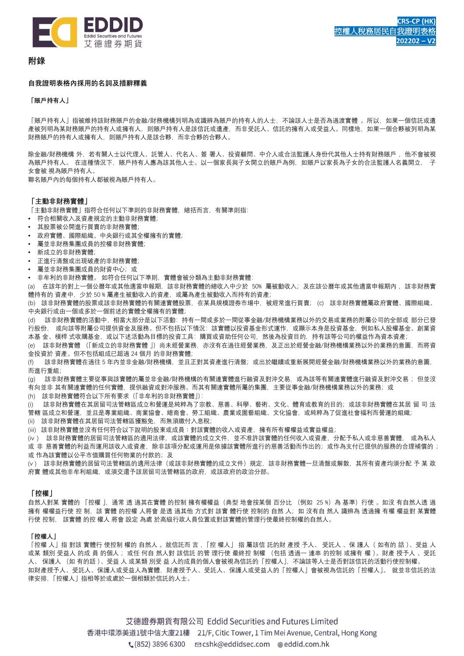

**附錄**

### **自我證明表格內採用的名詞及措辭釋義**

**「賬戶持有人」**

「賬戶持有人」指被維持該財務賬戶的金融/財務機構列明為或識辨為賬戶的持有人的人士,不論該人士是否為過渡實體 。所以,如果一個信託或遺 產被列明為某財務賬戶的持有人或擁有人,則賬戶持有人是該信託或遺產,而非受託人、信託的擁有人或受益人。同樣地,如果一個合夥被列明為某 財務賬戶的持有人或擁有人,則賬戶持有人是該合夥,而非合夥的合夥人。

除金融/財務機構 外,若有關人士以代理人、託管人、代名人、簽 署人、投資顧問、中介人或合法監護人身份代其他人士持有財務賬戶 ,他不會被視 為賬戶持有人。在這種情況下,賬戶持有人應為該其他人士。以一個家長與子女開立的賬戶為例,如賬戶以家長為子女的合法監護人名義開立,子 女會被 視為賬戶持有人。

聯名賬戶內的每個持有人都被視為賬戶持有人。

## **「主動非財務實體」**

「主動非財務實體」指符合任何以下準則的非財務實體,總括而言,有關準則指:

- 符合相關收入及資產規定的主動非財務實體;
- 其股票被公開進行買賣的非財務實體;
- 政府實體、國際組織、中央銀行或其全權擁有的實體;
- 屬並非財務集團成員的控權非財務實體;
- 新成立的非財務實體;
- 正進行清盤或出現破產的非財務實體;
- 屬並非財務集團成員的財資中心;或
- 非牟利的非財務實體。 如符合任何以下準則, 實體會被分類為主動非財務實體:

(a) 在該年的對上一個公曆年或其他適當申報期,該非財務實體的總收入中少於 50% 屬被動收入;及在該公曆年或其他適當申報期內 ,該非財務實 體持有的資產中, 少於 50 % 屬產生被動收入的資產, 或屬為產生被動收入而持有的資產;

(b) 該非財務實體的股票或該非財務實體的有關連實體股票,在某具規模證券市場中,被經常進行買賣; (c) 該非財務實體屬政府實體、國際組織、 中央銀行或由一個或多於一個前述的實體全權擁有的實體;

(d) 該非財務實體的活動中,相當大部分是以下活動: 持有一間或多於一間從事金融/財務機構業務以外的交易或業務的附屬公司的全部或 部分已發 行股份,或向該等附屬公司提供資金及服務。但不包括以下情況:該實體以投資基金形式運作,或顯示本身是投資基金,例如私人股權基金、創業資 本基 金、槓桿 式收購基金,或以下述活動為目標的投資工具:購買或資助任何公司,然後為投資目的,持有該等公司的權益作為資本資產;

(e) 該非財務實體 (「新成立的非財務實體 」)尚未經營業務,亦沒有在過往經營業務,及正出於經營金融/財務機構業務以外的業務的意圖,而將資 金投資於 資產。但不包括組成已超過 24 個月 的非財務實體;

(f) 該非財務實體在過往 5 年內並非金融/財務機構,並且正對其資產進行清盤;或出於繼續或重新展開經營金融/財務機構業務以外的業務的意圖, 而進行重組;

(g) 該非財務實體主要從事與該實體的屬並非金融/財務機構的有關連實體進行融資及對沖交易,或為該等有關連實體進行融資及對沖交易 ;但並沒 有向並非 其有關連實體的任何實體,提供融資或對沖服務。而其有關連實體所屬的集團,主要從事金融/財務機構業務以外的業務;或

(h) 該非財務實體符合以下所有要求(「非牟利的非財務實體」):

(i) 該非財務實體在其居留司法管轄區成立和營運是純粹為了宗教、慈善、科學、藝術、文化、體育或教育的目的;或該非財務實體在其居 留 司 法 管轄 區成立和營運,並且是專業組織、商業協會、總商會、勞工組織、農業或園藝組織、文化協會,或純粹為了促進社會福利而營運的組織; (ii) 該非財務實體在其居留司法管轄區獲豁免,而無須繳付入息稅;

(iii) 該非財務實體並沒有任何符合以下說明的股東或成員︰對該實體的收入或資產,擁有所有權權益或實益權益;

(iv ) 該非財務實體的居留司法管轄區的適用法律,或該實體的成立文件,並不准許該實體的任何收入或資產,分配予私人或非慈善實體, 或為私人

或 非 慈善實體的利益而運用該收入或資產,除非該項分配或運用是依據該實體所進行的慈善活動而作出的;或作為支付已提供的服務的合理補償的 ; 或作為該實體以公平市值購買任何物業的付款的;及

(v ) 該非財務實體的居留司法管轄區的適用法律(或該非財務實體的成立文件)規定,該非財務實體一旦清盤或解散,其所有資產均須分配 予 某 政 府實 體或其他非牟利組織, 或須交還予該居留司法管轄區的政府, 或該政府的政治分部。

#### **「控權」**

自然人對某 實體的 「控權」,通常 透 過其在實體 的控制 擁有權權益(典型 地會按某個 百分比 (例如 25 %)為 基準)行使 。如沒 有自然人透 過 擁有 權權益行使 控 制,該 實體 的控權 人將會 是透 過其他 方式對 該實 體行使 控制的 自然 人;如 沒有自 然人 識辨為 透過擁 有權 權益對 某實體 行使 控制, 該實體 的控 權人 將會 設定 為處 於高級行政人員位置或對該實體的管理行使最終控制權的自然人。

#### **「控權人」**

「控權 人」指 對該 實體行 使控制 權的 自然人 。就信託而 言 ,「控 權人」 指 屬該信 託的財 產授 予人、 受託人 、保 護人( 如有的 話 )、受益 人 或某 類別 受益人 的成 員 的個人; 或任 何自 然人對 該信託 的管 理行使 最終控 制權 (包括 透過一 連串 的控制 或擁有 權 )。財產 授予人 、受託 人、 保護人 (如 有的話 )、受益 人 或某類 別受 益 人的成員的個人會被視為信託的「控權人」,不論該等人士是否對該信託的活動行使控制權。 如財產授予人、受託人、保護人或受益人為實體,財產授予人、受託人、保護人或受益人的「控權人」會被視為信託的「控權人」。 就並非信託的法 律安排,「控權人」指相等於或處於一個相類於信託的人士。